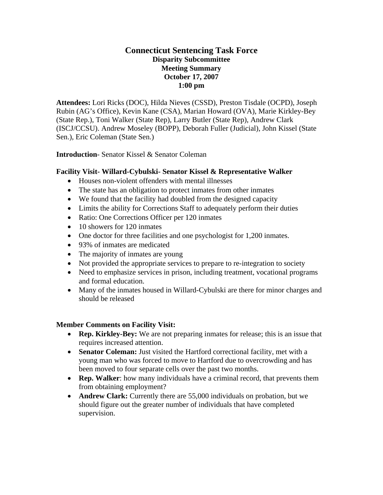# **Connecticut Sentencing Task Force Disparity Subcommittee Meeting Summary October 17, 2007 1:00 pm**

**Attendees:** Lori Ricks (DOC), Hilda Nieves (CSSD), Preston Tisdale (OCPD), Joseph Rubin (AG's Office), Kevin Kane (CSA), Marian Howard (OVA), Marie Kirkley-Bey (State Rep.), Toni Walker (State Rep), Larry Butler (State Rep), Andrew Clark (ISCJ/CCSU). Andrew Moseley (BOPP), Deborah Fuller (Judicial), John Kissel (State Sen.), Eric Coleman (State Sen.)

**Introduction**- Senator Kissel & Senator Coleman

### **Facility Visit- Willard-Cybulski- Senator Kissel & Representative Walker**

- Houses non-violent offenders with mental illnesses
- The state has an obligation to protect inmates from other inmates
- We found that the facility had doubled from the designed capacity
- Limits the ability for Corrections Staff to adequately perform their duties
- Ratio: One Corrections Officer per 120 inmates
- 10 showers for 120 inmates
- One doctor for three facilities and one psychologist for 1,200 inmates.
- 93% of inmates are medicated
- The majority of inmates are young
- Not provided the appropriate services to prepare to re-integration to society
- Need to emphasize services in prison, including treatment, vocational programs and formal education.
- Many of the inmates housed in Willard-Cybulski are there for minor charges and should be released

### **Member Comments on Facility Visit:**

- **Rep. Kirkley-Bey:** We are not preparing inmates for release; this is an issue that requires increased attention.
- **Senator Coleman:** Just visited the Hartford correctional facility, met with a young man who was forced to move to Hartford due to overcrowding and has been moved to four separate cells over the past two months.
- **Rep. Walker**: how many individuals have a criminal record, that prevents them from obtaining employment?
- **Andrew Clark:** Currently there are 55,000 individuals on probation, but we should figure out the greater number of individuals that have completed supervision.